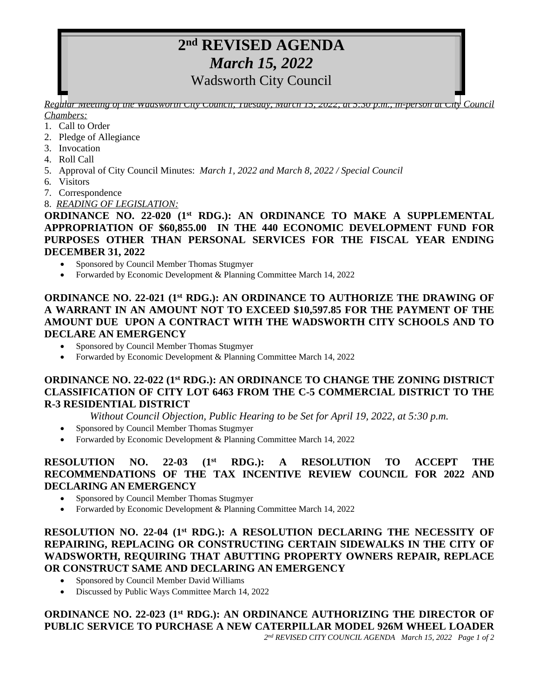# **2 nd REVISED AGENDA** *March 15, 2022*

Wadsworth City Council

*Regular Meeting of the Wadsworth City Council, Tuesday, March 15, 2022, at 5:30 p.m., in-person at City Council Chambers:*

- 1. Call to Order
- 2. Pledge of Allegiance
- 3. Invocation
- 4. Roll Call
- 5. Approval of City Council Minutes: *March 1, 2022 and March 8, 2022 / Special Council*
- 6*.* Visitors
- 7. Correspondence
- 8. *READING OF LEGISLATION:*

**ORDINANCE NO. 22-020 (1 st RDG.): AN ORDINANCE TO MAKE A SUPPLEMENTAL APPROPRIATION OF \$60,855.00 IN THE 440 ECONOMIC DEVELOPMENT FUND FOR PURPOSES OTHER THAN PERSONAL SERVICES FOR THE FISCAL YEAR ENDING DECEMBER 31, 2022** 

- Sponsored by Council Member Thomas Stugmyer
- Forwarded by Economic Development & Planning Committee March 14, 2022

#### **ORDINANCE NO. 22-021 (1 st RDG.): AN ORDINANCE TO AUTHORIZE THE DRAWING OF A WARRANT IN AN AMOUNT NOT TO EXCEED \$10,597.85 FOR THE PAYMENT OF THE AMOUNT DUE UPON A CONTRACT WITH THE WADSWORTH CITY SCHOOLS AND TO DECLARE AN EMERGENCY**

- Sponsored by Council Member Thomas Stugmyer
- Forwarded by Economic Development & Planning Committee March 14, 2022

#### **ORDINANCE NO. 22-022 (1 st RDG.): AN ORDINANCE TO CHANGE THE ZONING DISTRICT CLASSIFICATION OF CITY LOT 6463 FROM THE C-5 COMMERCIAL DISTRICT TO THE R-3 RESIDENTIAL DISTRICT**

*Without Council Objection, Public Hearing to be Set for April 19, 2022, at 5:30 p.m.*

- Sponsored by Council Member Thomas Stugmyer
- Forwarded by Economic Development & Planning Committee March 14, 2022

#### **RESOLUTION NO. 22-03 (1 st RDG.): A RESOLUTION TO ACCEPT THE RECOMMENDATIONS OF THE TAX INCENTIVE REVIEW COUNCIL FOR 2022 AND DECLARING AN EMERGENCY**

- Sponsored by Council Member Thomas Stugmyer
- Forwarded by Economic Development & Planning Committee March 14, 2022

### **RESOLUTION NO. 22-04 (1 st RDG.): A RESOLUTION DECLARING THE NECESSITY OF REPAIRING, REPLACING OR CONSTRUCTING CERTAIN SIDEWALKS IN THE CITY OF WADSWORTH, REQUIRING THAT ABUTTING PROPERTY OWNERS REPAIR, REPLACE OR CONSTRUCT SAME AND DECLARING AN EMERGENCY**

- Sponsored by Council Member David Williams
- Discussed by Public Ways Committee March 14, 2022

## **ORDINANCE NO. 22-023 (1 st RDG.): AN ORDINANCE AUTHORIZING THE DIRECTOR OF PUBLIC SERVICE TO PURCHASE A NEW CATERPILLAR MODEL 926M WHEEL LOADER**

*2 nd REVISED CITY COUNCIL AGENDA March 15, 2022 Page 1 of 2*